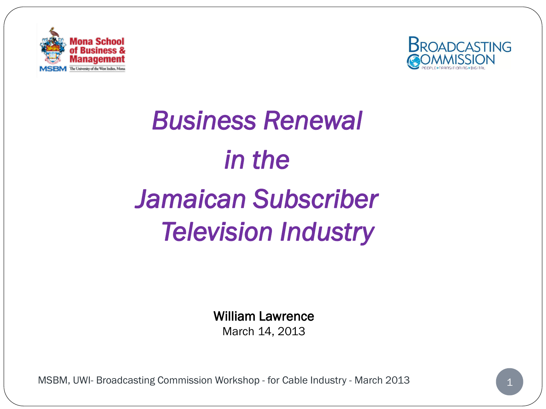



# *Business Renewal in the Jamaican Subscriber Television Industry*

William Lawrence March 14, 2013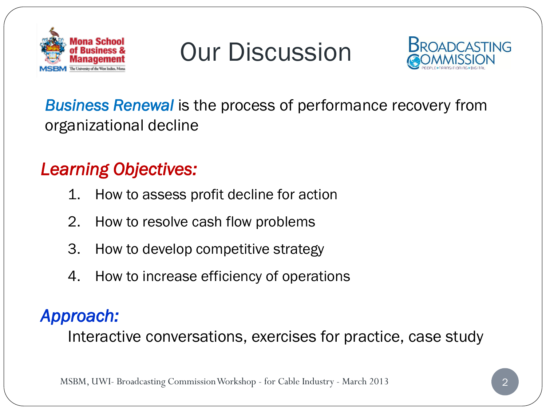

Our Discussion



### *Business Renewal* is the process of performance recovery from organizational decline

### *Learning Objectives:*

- 1. How to assess profit decline for action
- 2. How to resolve cash flow problems
- 3. How to develop competitive strategy
- 4. How to increase efficiency of operations

### *Approach:*

Interactive conversations, exercises for practice, case study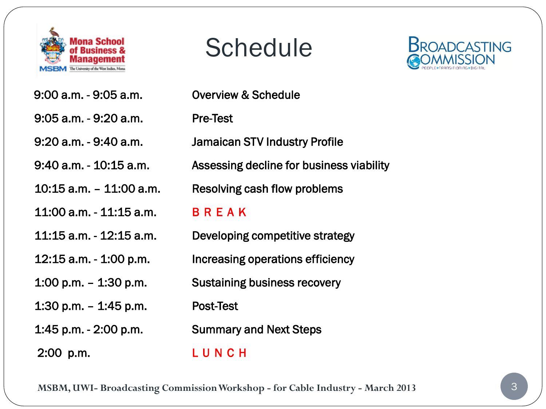

# Schedule

 9:00 a.m. - 9:05 a.m. Overview & Schedule 9:05 a.m. - 9:20 a.m. Pre-Test 9:20 a.m. - 9:40 a.m. Jamaican STV Industry Profile 10:15 a.m. – 11:00 a.m. Resolving cash flow problems 11:00 a.m. - 11:15 a.m. B R E A K 11:15 a.m. - 12:15 a.m. Developing competitive strategy 12:15 a.m. - 1:00 p.m. Increasing operations efficiency 1:00 p.m. – 1:30 p.m. Sustaining business recovery 1:30 p.m. – 1:45 p.m. Post-Test 1:45 p.m. - 2:00 p.m. Summary and Next Steps 2:00 p.m. L U N C H

9:40 a.m. - 10:15 a.m. Assessing decline for business viability

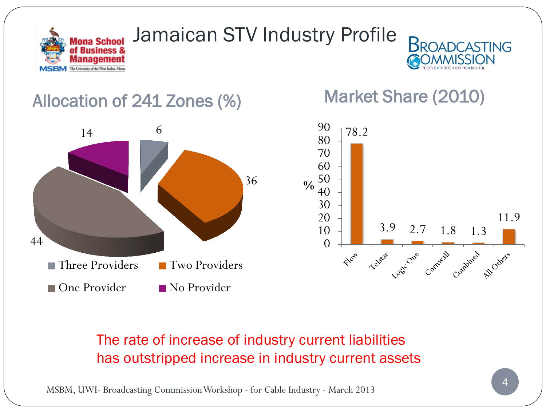

## Jamaican STV Industry Profile



### Allocation of 241 Zones (%) Market Share (2010)





#### The rate of increase of industry current liabilities has outstripped increase in industry current assets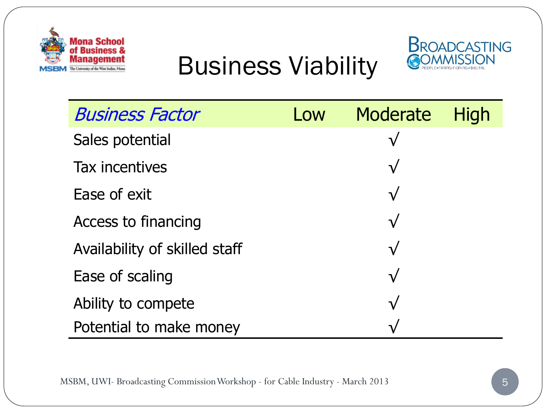

Business Viability



| <b>Business Factor</b>        | Low | Moderate      | <b>High</b> |
|-------------------------------|-----|---------------|-------------|
| Sales potential               |     | ${\mathsf V}$ |             |
| Tax incentives                |     | $\sqrt{}$     |             |
| Ease of exit                  |     | $\sqrt{}$     |             |
| Access to financing           |     | $\sqrt{}$     |             |
| Availability of skilled staff |     | $\sqrt{}$     |             |
| Ease of scaling               |     | $\sqrt{}$     |             |
| Ability to compete            |     | $\sqrt{}$     |             |
| Potential to make money       |     | $\mathbf{L}$  |             |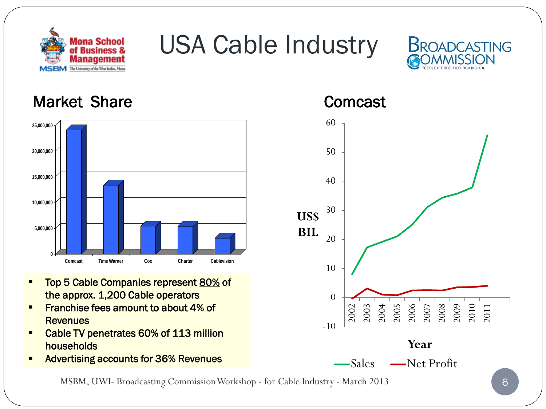

# USA Cable Industry



#### Market Share **Company** Comcast



- Top 5 Cable Companies represent 80% of the approx. 1,200 Cable operators
- Franchise fees amount to about 4% of **Revenues**
- Cable TV penetrates 60% of 113 million households
- Advertising accounts for 36% Revenues

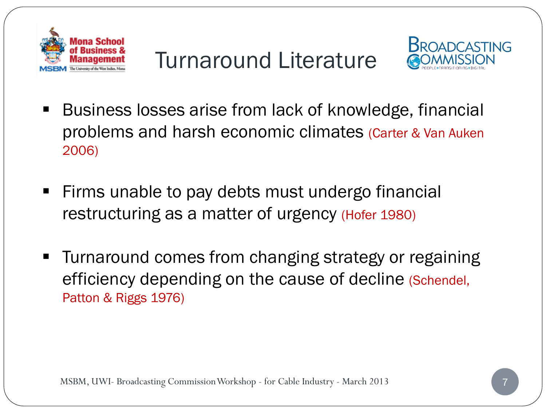

Turnaround Literature



- Business losses arise from lack of knowledge, financial problems and harsh economic climates (Carter & Van Auken 2006)
- **Firms unable to pay debts must undergo financial** restructuring as a matter of urgency (Hofer 1980)
- Turnaround comes from changing strategy or regaining efficiency depending on the cause of decline (Schendel, Patton & Riggs 1976)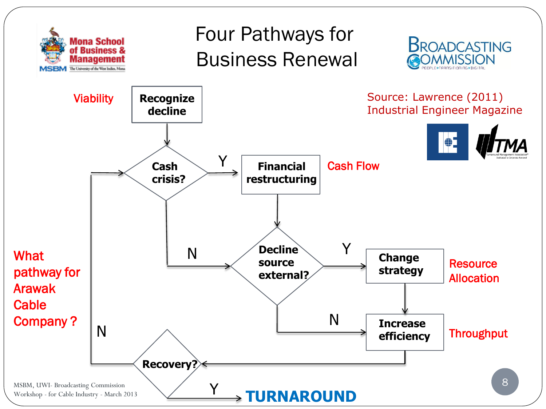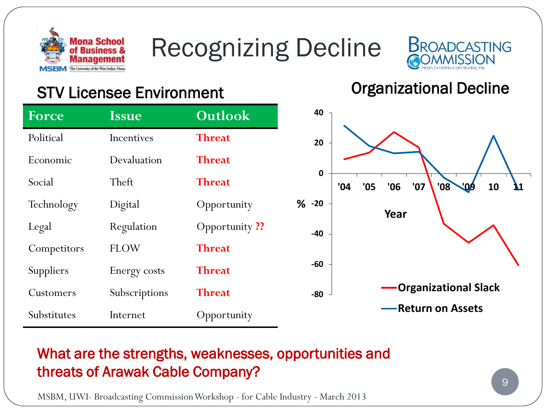

# Recognizing Decline



### STV Licensee Environment Controller Controller Controller Controller Controller Controller Controller Controller

| <b>Issue</b>  | Outlook             |   |
|---------------|---------------------|---|
| Incentives    | <b>Threat</b>       |   |
| Devaluation   | <b>Threat</b>       |   |
| Theft         | <b>Threat</b>       |   |
| Digital       | Opportunity         | ℅ |
| Regulation    | <b>Opportunity?</b> |   |
| <b>FLOW</b>   | <b>Threat</b>       |   |
| Energy costs  | <b>Threat</b>       |   |
| Subscriptions | <b>Threat</b>       |   |
| Internet      | Opportunity         |   |
|               |                     |   |



#### What are the strengths, weaknesses, opportunities and threats of Arawak Cable Company?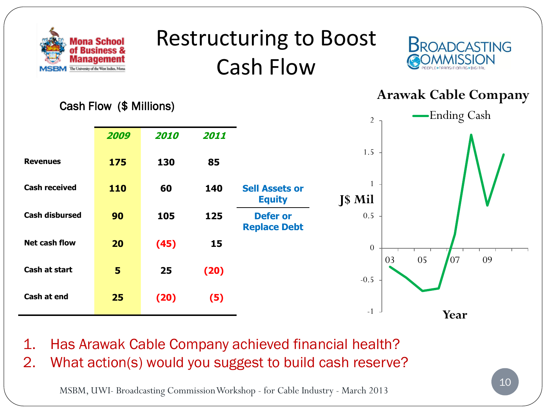

# Restructuring to Boost Cash Flow



**2009 2010 2011 Revenues 175 130 85 Cash received 110 60 140 Sell Assets or Equity Cash disbursed 90 105 125 Defer or Replace Debt Net cash flow 20 (45) 15 Cash at start 5 25 (20) Cash at end 25 (20) (5)** Cash Flow (\$ Millions) -1 -0.5 0 0.5 1 1.5 2 03 05 07 09 **J\$ Mil Year Arawak Cable Company** Ending Cash

1. Has Arawak Cable Company achieved financial health?

2. What action(s) would you suggest to build cash reserve?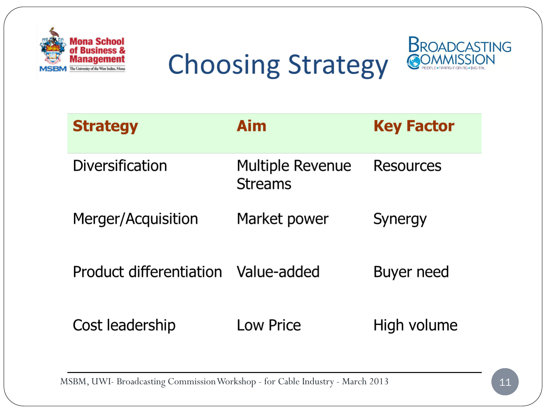





| <b>Strategy</b>         | Aim                                       | <b>Key Factor</b> |
|-------------------------|-------------------------------------------|-------------------|
| Diversification         | <b>Multiple Revenue</b><br><b>Streams</b> | Resources         |
| Merger/Acquisition      | Market power                              | Synergy           |
| Product differentiation | Value-added                               | Buyer need        |
| Cost leadership         | <b>Low Price</b>                          | High volume       |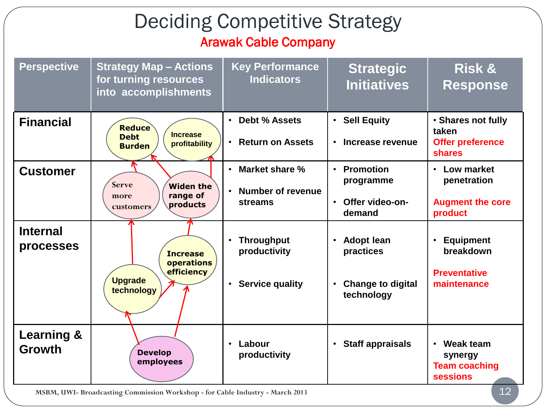### Deciding Competitive Strategy Arawak Cable Company

| <b>Perspective</b>                     | <b>Strategy Map - Actions</b><br>for turning resources<br>into accomplishments    | <b>Key Performance</b><br><b>Indicators</b>                                           | <b>Strategic</b><br><b>Initiatives</b>                                                | <b>Risk &amp;</b><br><b>Response</b>                                             |
|----------------------------------------|-----------------------------------------------------------------------------------|---------------------------------------------------------------------------------------|---------------------------------------------------------------------------------------|----------------------------------------------------------------------------------|
| <b>Financial</b>                       | <b>Reduce</b><br><b>Increase</b><br><b>Debt</b><br>profitability<br><b>Burden</b> | Debt % Assets<br>$\bullet$<br><b>Return on Assets</b><br>$\bullet$                    | • Sell Equity<br>Increase revenue<br>$\bullet$                                        | · Shares not fully<br>taken<br><b>Offer preference</b><br><b>shares</b>          |
| <b>Customer</b>                        | <b>Serve</b><br><b>Widen the</b><br>range of<br>more<br>products<br>customers     | Market share %<br>$\bullet$<br><b>Number of revenue</b><br>$\bullet$<br>streams       | • Promotion<br>programme<br>Offer video-on-<br>$\bullet$<br>demand                    | • Low market<br>penetration<br><b>Augment the core</b><br>product                |
| <b>Internal</b><br>processes           | <b>Increase</b><br>operations<br>efficiency<br><b>Upgrade</b><br>technology       | <b>Throughput</b><br>$\bullet$<br>productivity<br><b>Service quality</b><br>$\bullet$ | <b>Adopt lean</b><br>practices<br><b>Change to digital</b><br>$\bullet$<br>technology | <b>Equipment</b><br>$\bullet$<br>breakdown<br><b>Preventative</b><br>maintenance |
| <b>Learning &amp;</b><br><b>Growth</b> | <b>Develop</b><br>employees                                                       | Labour<br>$\bullet$<br>productivity                                                   | <b>Staff appraisals</b><br>$\bullet$                                                  | Weak team<br>$\bullet$<br>synergy<br><b>Team coaching</b><br><b>sessions</b>     |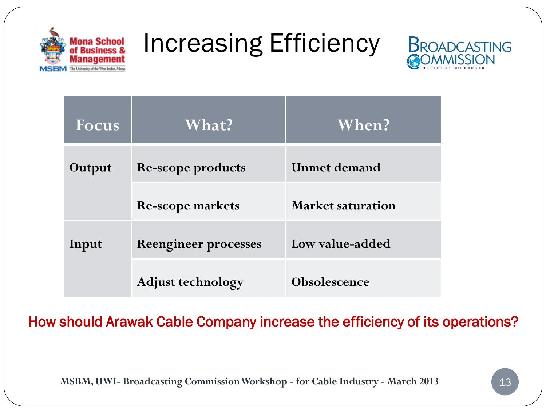

Increasing Efficiency



| <b>Focus</b> | What?                       | When?                    |
|--------------|-----------------------------|--------------------------|
| Output       | <b>Re-scope products</b>    | <b>Unmet demand</b>      |
|              | <b>Re-scope markets</b>     | <b>Market saturation</b> |
| Input        | <b>Reengineer processes</b> | Low value-added          |
|              | <b>Adjust technology</b>    | <b>Obsolescence</b>      |

How should Arawak Cable Company increase the efficiency of its operations?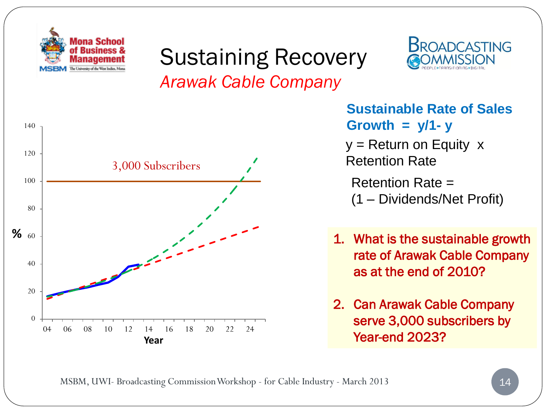

## Sustaining Recovery *Arawak Cable Company*



**Sustainable Rate of Sales**   $Growth = y/1 - y$ 

**BROADCASTING** 

 $y =$  Return on Equity  $x$ Retention Rate

Retention Rate = (1 – Dividends/Net Profit)

- 1. What is the sustainable growth rate of Arawak Cable Company as at the end of 2010?
- 2. Can Arawak Cable Company serve 3,000 subscribers by Year-end 2023?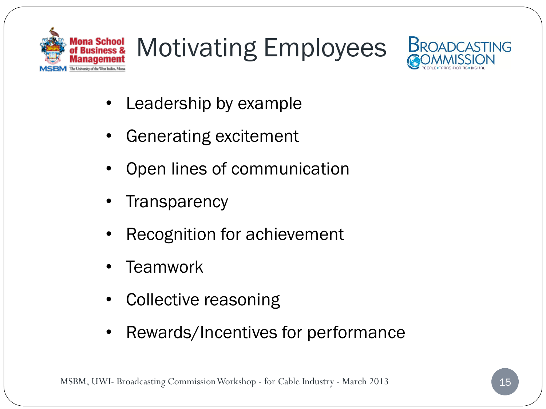

# Motivating Employees



- Leadership by example
- Generating excitement
- Open lines of communication
- **Transparency**
- Recognition for achievement
- **Teamwork**
- Collective reasoning
- Rewards/Incentives for performance